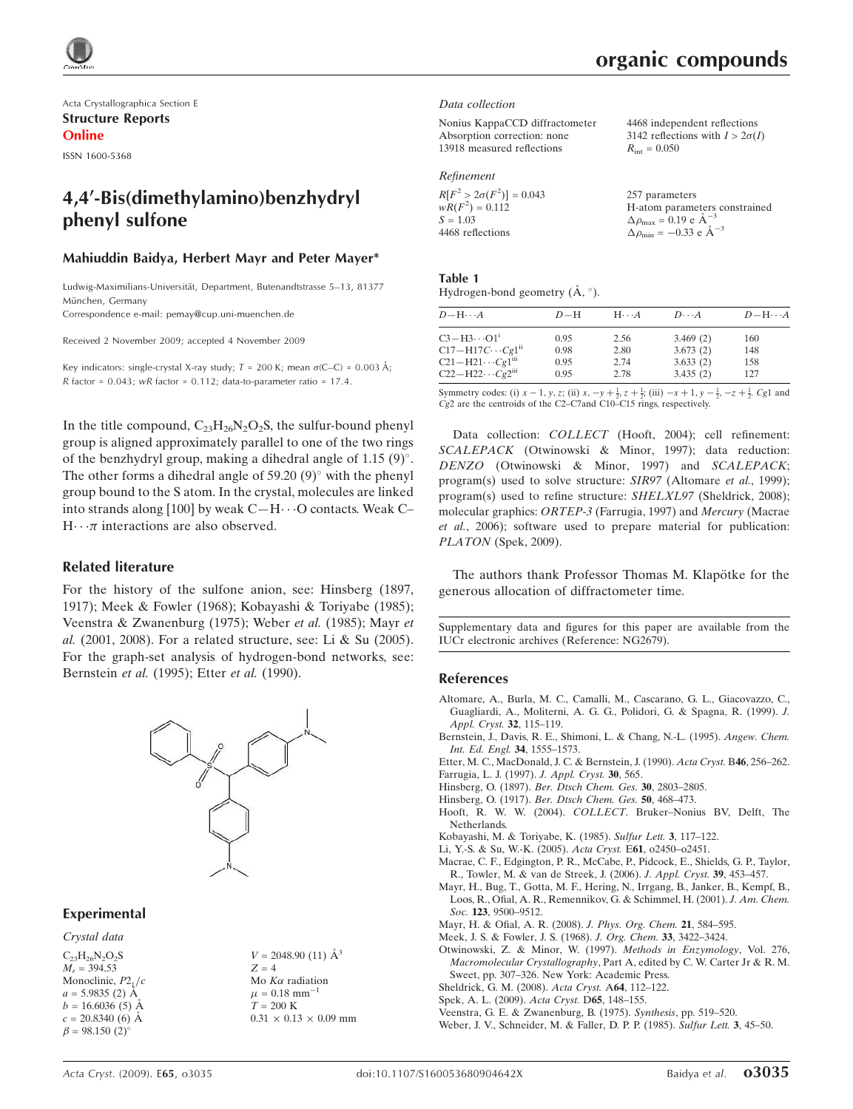Acta Crystallographica Section E Structure Reports Online

ISSN 1600-5368

# 4,4'-Bis(dimethylamino)benzhydryl phenyl sulfone

#### Mahiuddin Baidya, Herbert Mayr and Peter Mayer\*

Ludwig-Maximilians-Universität, Department, Butenandtstrasse 5-13, 81377 München, Germany

Correspondence e-mail: pemay@cup.uni-muenchen.de

Received 2 November 2009; accepted 4 November 2009

Key indicators: single-crystal X-ray study;  $T = 200$  K; mean  $\sigma$ (C–C) = 0.003 Å; R factor =  $0.043$ ; wR factor =  $0.112$ ; data-to-parameter ratio = 17.4.

In the title compound,  $C_{23}H_{26}N_2O_2S$ , the sulfur-bound phenyl group is aligned approximately parallel to one of the two rings of the benzhydryl group, making a dihedral angle of  $1.15$  (9)°. The other forms a dihedral angle of  $59.20(9)^\circ$  with the phenyl group bound to the S atom. In the crystal, molecules are linked into strands along [100] by weak  $C-H \cdots$ O contacts. Weak C–  $H \cdots \pi$  interactions are also observed.

#### Related literature

For the history of the sulfone anion, see: Hinsberg (1897, 1917); Meek & Fowler (1968); Kobayashi & Toriyabe (1985); Veenstra & Zwanenburg (1975); Weber et al. (1985); Mayr et al. (2001, 2008). For a related structure, see: Li & Su (2005). For the graph-set analysis of hydrogen-bond networks, see: Bernstein et al. (1995); Etter et al. (1990).



#### Experimental

Crystal data

 $C_{23}H_{26}N_2O_2S$  $M_r = 394.53$ Monoclinic,  $P2<sub>1</sub>/c$  $a = 5.9835(2)$  Å  $b = 16.6036(5)$  Å  $c = 20.8340(6)$  Å  $\beta = 98.150$  (2)<sup>o</sup>

 $V = 2048.90$  (11)  $\AA^3$  $Z = 4$ Mo $K\alpha$  radiation  $\mu$  = 0.18 mm<sup>-1</sup>  $T = 200$  K  $0.31 \times 0.13 \times 0.09$  mm

# organic compounds

#### Data collection

| 4468 independent reflections           |
|----------------------------------------|
| 3142 reflections with $I > 2\sigma(I)$ |
| $R_{\rm int} = 0.050$                  |
|                                        |

#### Refinement

| $R[F^2 > 2\sigma(F^2)] = 0.043$ | 257 parameters                                                                      |
|---------------------------------|-------------------------------------------------------------------------------------|
| $wR(F^2) = 0.112$<br>$S = 1.03$ | H-atom parameters constrained<br>$\Delta \rho_{\text{max}} = 0.19 \text{ e A}^{-3}$ |
| 4468 reflections                | $\Delta \rho_{\text{min}} = -0.33$ e $\AA^{-3}$                                     |

| Table 1                                 |  |  |
|-----------------------------------------|--|--|
| Hydrogen-bond geometry $(A, \degree)$ . |  |  |

| $D - H \cdots A$                      | $D-H$ | $H\cdots A$ | $D\cdots A$ | $D$ -H $\cdots$ A |
|---------------------------------------|-------|-------------|-------------|-------------------|
| $C3-H3\cdots O1^1$                    | 0.95  | 2.56        | 3.469(2)    | 160               |
| $C17 - H17C \cdots Cg1^{ii}$          | 0.98  | 2.80        | 3.673(2)    | 148               |
| $C21 - H21 \cdots Cg1$ <sup>iii</sup> | 0.95  | 2.74        | 3.633(2)    | 158               |
| $C22-H22\cdots Cg2$ <sup>iii</sup>    | 0.95  | 2.78        | 3.435(2)    | 127               |

Symmetry codes: (i)  $x - 1$ ,  $y$ ,  $z$ ; (ii)  $x$ ,  $-y + \frac{1}{2}$ ,  $z + \frac{1}{2}$ ; (iii)  $-x + 1$ ,  $y - \frac{1}{2}$ ,  $-z + \frac{1}{2}$ . Cg1 and Cg2 are the centroids of the C2–C7and C10–C15 rings, respectively.

Data collection: COLLECT (Hooft, 2004); cell refinement: SCALEPACK (Otwinowski & Minor, 1997); data reduction: DENZO (Otwinowski & Minor, 1997) and SCALEPACK; program(s) used to solve structure: SIR97 (Altomare et al., 1999); program(s) used to refine structure: SHELXL97 (Sheldrick, 2008); molecular graphics: ORTEP-3 (Farrugia, 1997) and Mercury (Macrae et al., 2006); software used to prepare material for publication: PLATON (Spek, 2009).

The authors thank Professor Thomas M. Klapötke for the generous allocation of diffractometer time.

Supplementary data and figures for this paper are available from the IUCr electronic archives (Reference: NG2679).

#### References

- Altomare, A., Burla, M. C., Camalli, M., Cascarano, G. L., Giacovazzo, C., Guagliardi, A., Moliterni, A. G. G., Polidori, G. & Spagna, R. (1999). J. Appl. Cryst. 32, 115–119.
- Bernstein, J., Davis, R. E., Shimoni, L. & Chang, N.-L. (1995). Angew. Chem. Int. Ed. Engl. 34, 1555–1573.

Etter, M. C., MacDonald, J. C. & Bernstein, J. (1990). Acta Cryst. B46, 256–262.

- Farrugia, L. J. (1997). J. Appl. Cryst. 30, 565.
- Hinsberg, O. (1897). Ber. Dtsch Chem. Ges. 30, 2803–2805.
- Hinsberg, O. (1917). Ber. Dtsch Chem. Ges. 50, 468–473.
- Hooft, R. W. W. (2004). COLLECT. Bruker–Nonius BV, Delft, The Netherlands.
- Kobayashi, M. & Toriyabe, K. (1985). Sulfur Lett. 3, 117–122.
- Li, Y.-S. & Su, W.-K. (2005). Acta Cryst. E61, o2450–o2451.
- Macrae, C. F., Edgington, P. R., McCabe, P., Pidcock, E., Shields, G. P., Taylor, R., Towler, M. & van de Streek, J. (2006). J. Appl. Cryst. 39, 453–457.
- Mayr, H., Bug, T., Gotta, M. F., Hering, N., Irrgang, B., Janker, B., Kempf, B., Loos, R., Ofial, A. R., Remennikov, G. & Schimmel, H. (2001). J. Am. Chem. Soc. 123, 9500-9512.
- Mayr, H. & Ofial, A. R. (2008). J. Phys. Org. Chem. 21, 584–595.
- Meek, J. S. & Fowler, J. S. (1968). J. Org. Chem. 33, 3422–3424.
- Otwinowski, Z. & Minor, W. (1997). Methods in Enzymology, Vol. 276, Macromolecular Crystallography, Part A, edited by C. W. Carter Jr & R. M. Sweet, pp. 307–326. New York: Academic Press.
- Sheldrick, G. M. (2008). Acta Cryst. A64, 112–122.
- Spek, A. L. (2009). Acta Cryst. D65, 148–155.
- Veenstra, G. E. & Zwanenburg, B. (1975). Synthesis, pp. 519–520.
- Weber, J. V., Schneider, M. & Faller, D. P. P. (1985). Sulfur Lett. 3, 45–50.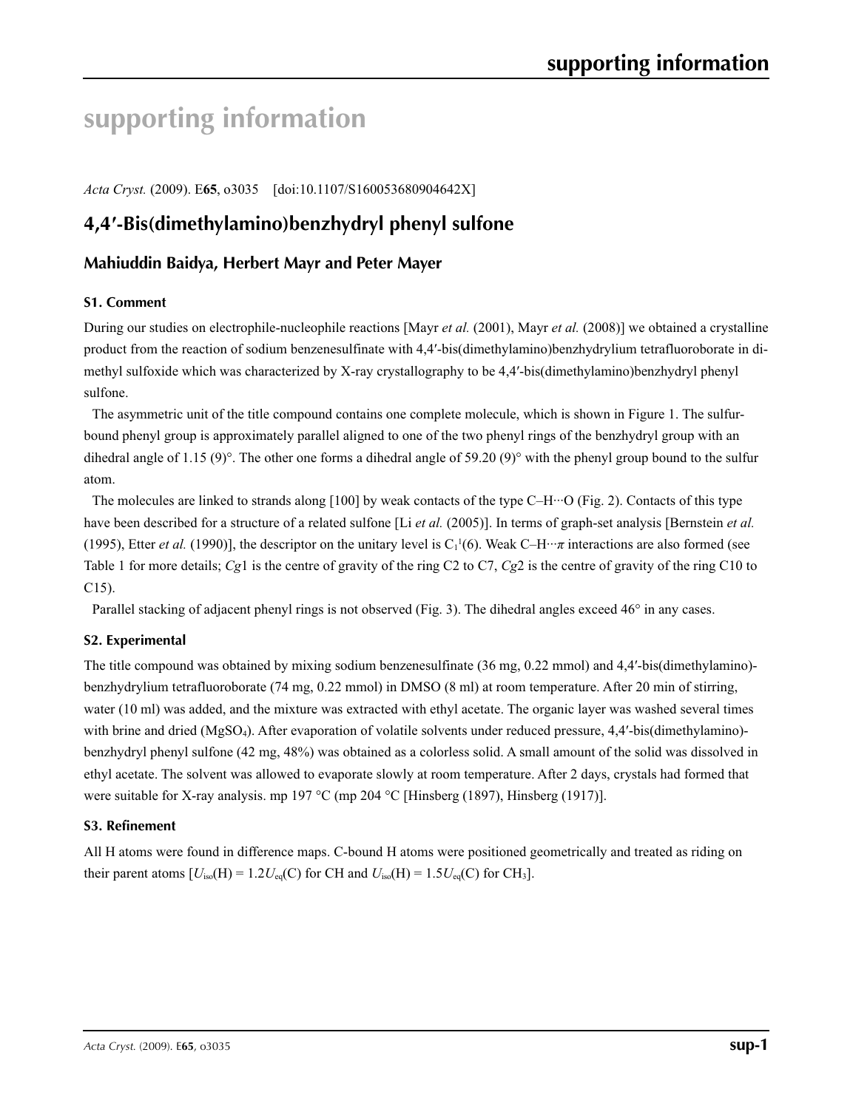# **supporting information**

*Acta Cryst.* (2009). E**65**, o3035 [doi:10.1107/S160053680904642X]

# **4,4′-Bis(dimethylamino)benzhydryl phenyl sulfone**

## **Mahiuddin Baidya, Herbert Mayr and Peter Mayer**

#### **S1. Comment**

During our studies on electrophile-nucleophile reactions [Mayr *et al.* (2001), Mayr *et al.* (2008)] we obtained a crystalline product from the reaction of sodium benzenesulfinate with 4,4′-bis(dimethylamino)benzhydrylium tetrafluoroborate in dimethyl sulfoxide which was characterized by X-ray crystallography to be 4,4′-bis(dimethylamino)benzhydryl phenyl sulfone.

The asymmetric unit of the title compound contains one complete molecule, which is shown in Figure 1. The sulfurbound phenyl group is approximately parallel aligned to one of the two phenyl rings of the benzhydryl group with an dihedral angle of 1.15 (9)°. The other one forms a dihedral angle of 59.20 (9)° with the phenyl group bound to the sulfur atom.

The molecules are linked to strands along  $[100]$  by weak contacts of the type C–H $\cdots$ O (Fig. 2). Contacts of this type have been described for a structure of a related sulfone [Li *et al.* (2005)]. In terms of graph-set analysis [Bernstein *et al.* (1995), Etter *et al.* (1990)], the descriptor on the unitary level is  $C_1^1(6)$ . Weak  $C-H \cdots \pi$  interactions are also formed (see Table 1 for more details; *Cg*1 is the centre of gravity of the ring C2 to C7, *Cg*2 is the centre of gravity of the ring C10 to C15).

Parallel stacking of adjacent phenyl rings is not observed (Fig. 3). The dihedral angles exceed 46° in any cases.

#### **S2. Experimental**

The title compound was obtained by mixing sodium benzenesulfinate (36 mg, 0.22 mmol) and 4,4′-bis(dimethylamino) benzhydrylium tetrafluoroborate (74 mg, 0.22 mmol) in DMSO (8 ml) at room temperature. After 20 min of stirring, water (10 ml) was added, and the mixture was extracted with ethyl acetate. The organic layer was washed several times with brine and dried (MgSO<sub>4</sub>). After evaporation of volatile solvents under reduced pressure, 4,4'-bis(dimethylamino)benzhydryl phenyl sulfone (42 mg, 48%) was obtained as a colorless solid. A small amount of the solid was dissolved in ethyl acetate. The solvent was allowed to evaporate slowly at room temperature. After 2 days, crystals had formed that were suitable for X-ray analysis. mp 197 °C (mp 204 °C [Hinsberg (1897), Hinsberg (1917)].

#### **S3. Refinement**

All H atoms were found in difference maps. C-bound H atoms were positioned geometrically and treated as riding on their parent atoms  $[U_{iso}(H) = 1.2U_{eq}(C)$  for CH and  $U_{iso}(H) = 1.5U_{eq}(C)$  for CH<sub>3</sub>].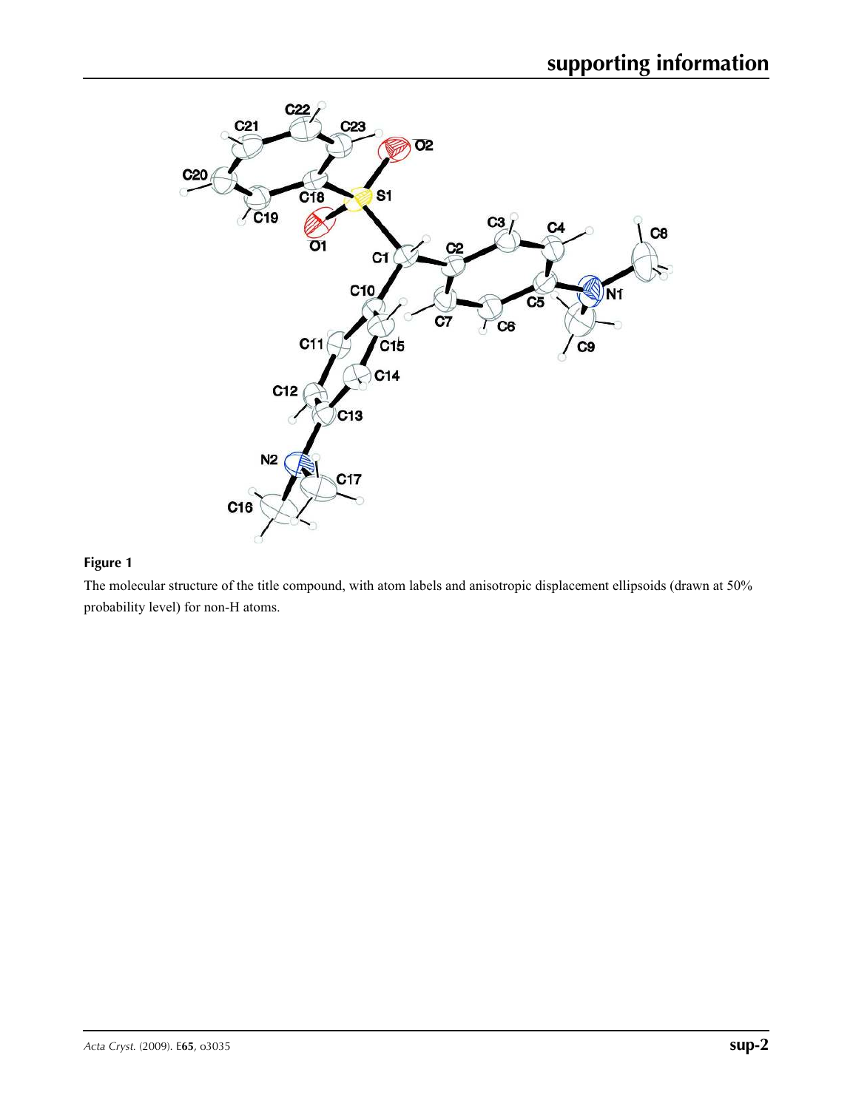

#### **Figure 1**

The molecular structure of the title compound, with atom labels and anisotropic displacement ellipsoids (drawn at 50% probability level) for non-H atoms.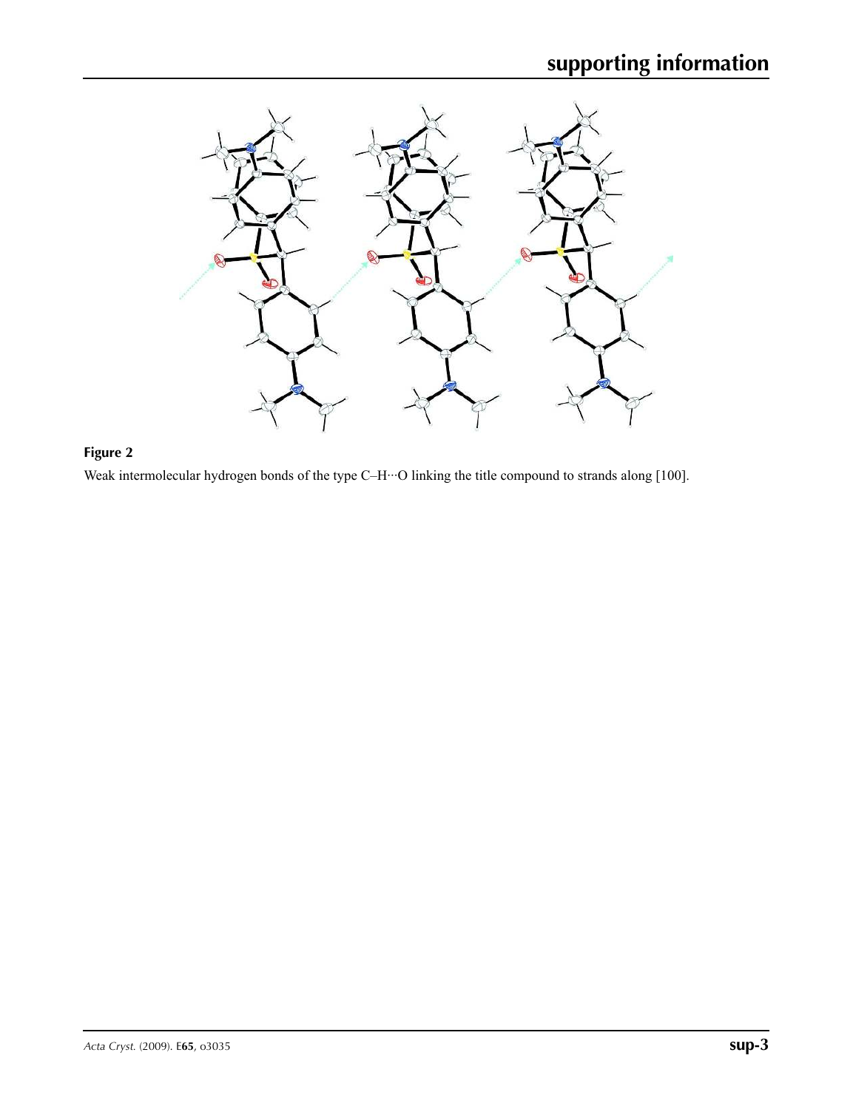

# **Figure 2**

Weak intermolecular hydrogen bonds of the type C–H···O linking the title compound to strands along [100].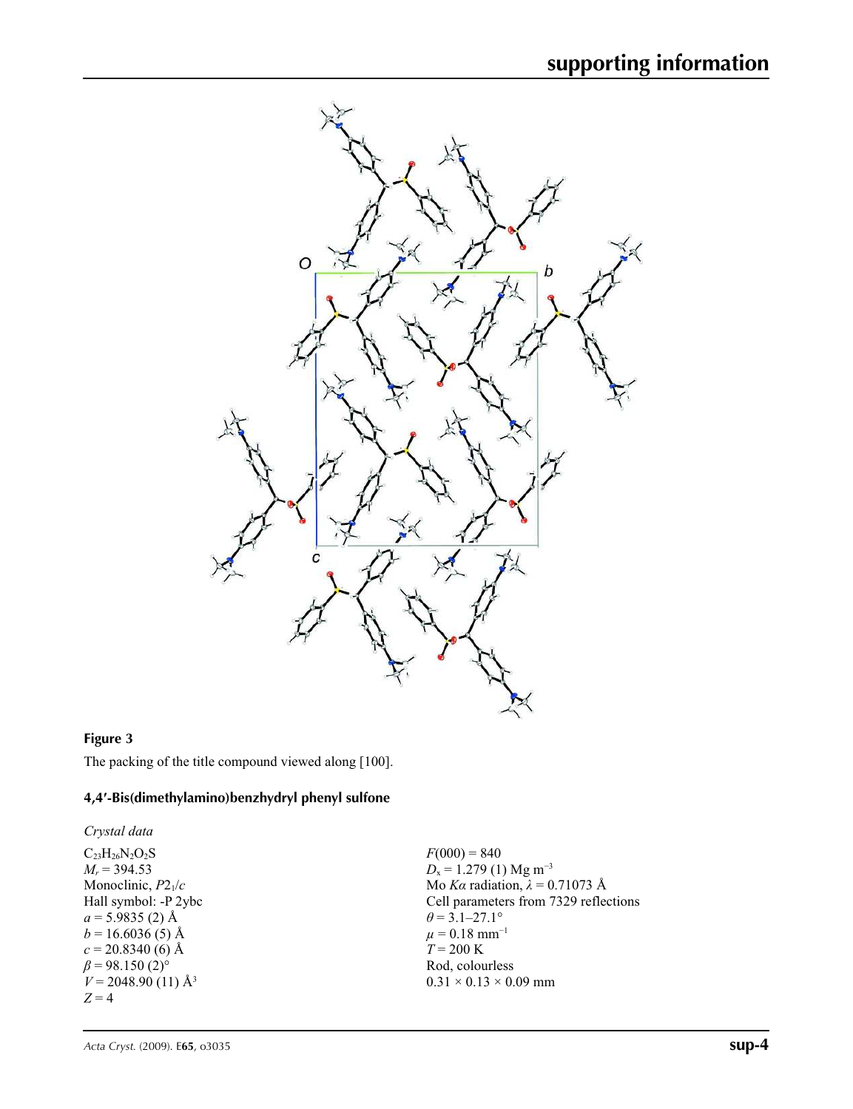

### **Figure 3**

The packing of the title compound viewed along [100].

#### **4,4′-Bis(dimethylamino)benzhydryl phenyl sulfone**

*Crystal data*

 $C_{23}H_{26}N_2O_2S$ *Mr* = 394.53 Monoclinic, *P*21/*c* Hall symbol: -P 2ybc  $a = 5.9835$  (2) Å  $b = 16.6036(5)$  Å  $c = 20.8340(6)$  Å  $\beta$  = 98.150 (2)<sup>o</sup>  $V = 2048.90$  (11) Å<sup>3</sup> *Z* = 4

 $F(000) = 840$ *D*<sub>x</sub> = 1.279 (1) Mg m<sup>-3</sup> Mo *Kα* radiation,  $\lambda = 0.71073$  Å Cell parameters from 7329 reflections  $\theta$  = 3.1–27.1°  $\mu = 0.18$  mm<sup>-1</sup>  $T = 200 \text{ K}$ Rod, colourless  $0.31 \times 0.13 \times 0.09$  mm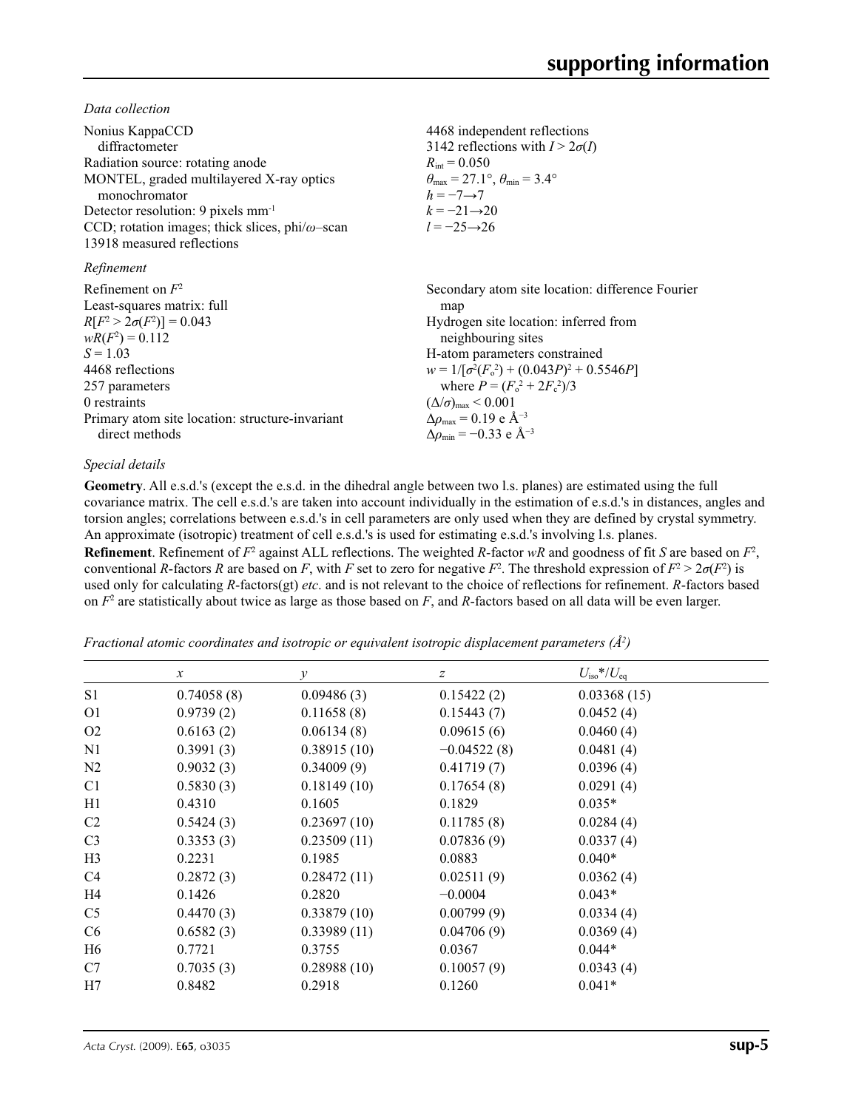*Data collection*

| Nonius KappaCCD<br>diffractometer<br>Radiation source: rotating anode<br>MONTEL, graded multilayered X-ray optics<br>monochromator<br>Detector resolution: 9 pixels mm <sup>-1</sup><br>CCD; rotation images; thick slices, $phi/\omega$ -scan<br>13918 measured reflections | 4468 independent reflections<br>3142 reflections with $I > 2\sigma(I)$<br>$R_{\text{int}} = 0.050$<br>$\theta_{\text{max}} = 27.1^{\circ}, \theta_{\text{min}} = 3.4^{\circ}$<br>$h = -7 \rightarrow 7$<br>$k = -21 \rightarrow 20$<br>$l = -25 \rightarrow 26$                                                                                                                                  |
|------------------------------------------------------------------------------------------------------------------------------------------------------------------------------------------------------------------------------------------------------------------------------|--------------------------------------------------------------------------------------------------------------------------------------------------------------------------------------------------------------------------------------------------------------------------------------------------------------------------------------------------------------------------------------------------|
| Refinement                                                                                                                                                                                                                                                                   |                                                                                                                                                                                                                                                                                                                                                                                                  |
| Refinement on $F^2$<br>Least-squares matrix: full<br>$R[F^2 > 2\sigma(F^2)] = 0.043$<br>$wR(F^2) = 0.112$<br>$S = 1.03$<br>4468 reflections<br>257 parameters<br>0 restraints<br>Primary atom site location: structure-invariant<br>direct methods                           | Secondary atom site location: difference Fourier<br>map<br>Hydrogen site location: inferred from<br>neighbouring sites<br>H-atom parameters constrained<br>$w = 1/[\sigma^2(F_0^2) + (0.043P)^2 + 0.5546P]$<br>where $P = (F_0^2 + 2F_c^2)/3$<br>$(\Delta/\sigma)_{\text{max}}$ < 0.001<br>$\Delta\rho_{\text{max}} = 0.19 \text{ e A}^{-3}$<br>$\Delta\rho_{\rm min} = -0.33$ e Å <sup>-3</sup> |

#### *Special details*

**Geometry**. All e.s.d.'s (except the e.s.d. in the dihedral angle between two l.s. planes) are estimated using the full covariance matrix. The cell e.s.d.'s are taken into account individually in the estimation of e.s.d.'s in distances, angles and torsion angles; correlations between e.s.d.'s in cell parameters are only used when they are defined by crystal symmetry. An approximate (isotropic) treatment of cell e.s.d.'s is used for estimating e.s.d.'s involving l.s. planes.

**Refinement**. Refinement of  $F^2$  against ALL reflections. The weighted *R*-factor *wR* and goodness of fit *S* are based on  $F^2$ , conventional *R*-factors *R* are based on *F*, with *F* set to zero for negative *F*<sup>2</sup>. The threshold expression of  $F^2 > 2\sigma(F^2)$  is used only for calculating *R*-factors(gt) *etc*. and is not relevant to the choice of reflections for refinement. *R*-factors based on  $F<sup>2</sup>$  are statistically about twice as large as those based on  $F$ , and  $R$ -factors based on all data will be even larger.

*Fractional atomic coordinates and isotropic or equivalent isotropic displacement parameters (Å<sup>2</sup> )*

|                | $\mathcal{X}$ | $\mathcal{Y}$ | $\boldsymbol{Z}$ | $U_{\rm iso}$ */ $U_{\rm eq}$ |  |
|----------------|---------------|---------------|------------------|-------------------------------|--|
| S1             | 0.74058(8)    | 0.09486(3)    | 0.15422(2)       | 0.03368(15)                   |  |
| O <sub>1</sub> | 0.9739(2)     | 0.11658(8)    | 0.15443(7)       | 0.0452(4)                     |  |
| O <sub>2</sub> | 0.6163(2)     | 0.06134(8)    | 0.09615(6)       | 0.0460(4)                     |  |
| N1             | 0.3991(3)     | 0.38915(10)   | $-0.04522(8)$    | 0.0481(4)                     |  |
| N2             | 0.9032(3)     | 0.34009(9)    | 0.41719(7)       | 0.0396(4)                     |  |
| C <sub>1</sub> | 0.5830(3)     | 0.18149(10)   | 0.17654(8)       | 0.0291(4)                     |  |
| H1             | 0.4310        | 0.1605        | 0.1829           | $0.035*$                      |  |
| C <sub>2</sub> | 0.5424(3)     | 0.23697(10)   | 0.11785(8)       | 0.0284(4)                     |  |
| C <sub>3</sub> | 0.3353(3)     | 0.23509(11)   | 0.07836(9)       | 0.0337(4)                     |  |
| H <sub>3</sub> | 0.2231        | 0.1985        | 0.0883           | $0.040*$                      |  |
| C <sub>4</sub> | 0.2872(3)     | 0.28472(11)   | 0.02511(9)       | 0.0362(4)                     |  |
| H4             | 0.1426        | 0.2820        | $-0.0004$        | $0.043*$                      |  |
| C <sub>5</sub> | 0.4470(3)     | 0.33879(10)   | 0.00799(9)       | 0.0334(4)                     |  |
| C <sub>6</sub> | 0.6582(3)     | 0.33989(11)   | 0.04706(9)       | 0.0369(4)                     |  |
| H6             | 0.7721        | 0.3755        | 0.0367           | $0.044*$                      |  |
| C7             | 0.7035(3)     | 0.28988(10)   | 0.10057(9)       | 0.0343(4)                     |  |
| H7             | 0.8482        | 0.2918        | 0.1260           | $0.041*$                      |  |
|                |               |               |                  |                               |  |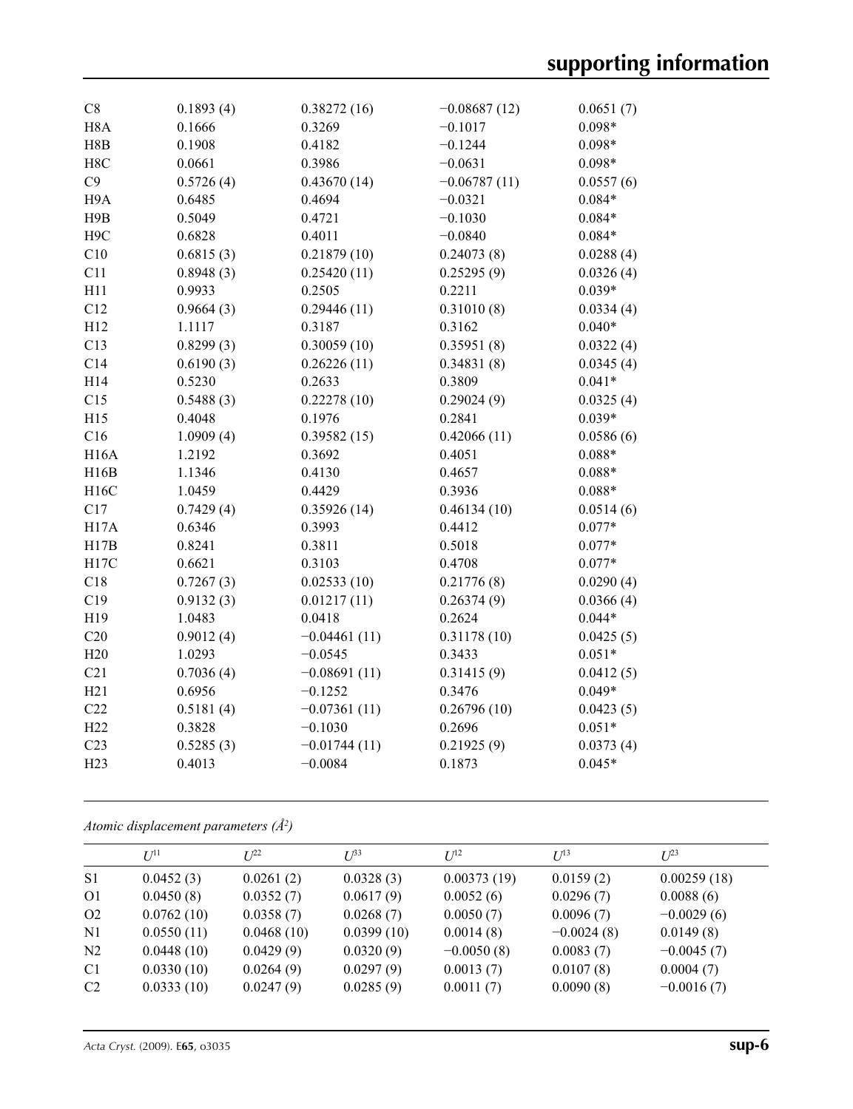| C8               | 0.1893(4) | 0.38272(16)    | $-0.08687(12)$ | 0.0651(7) |
|------------------|-----------|----------------|----------------|-----------|
| H <sub>8</sub> A | 0.1666    | 0.3269         | $-0.1017$      | $0.098*$  |
| H8B              | 0.1908    | 0.4182         | $-0.1244$      | $0.098*$  |
| H8C              | 0.0661    | 0.3986         | $-0.0631$      | $0.098*$  |
| C9               | 0.5726(4) | 0.43670(14)    | $-0.06787(11)$ | 0.0557(6) |
| H <sub>9</sub> A | 0.6485    | 0.4694         | $-0.0321$      | $0.084*$  |
| H9B              | 0.5049    | 0.4721         | $-0.1030$      | $0.084*$  |
|                  |           | 0.4011         |                |           |
| H <sub>9</sub> C | 0.6828    |                | $-0.0840$      | $0.084*$  |
| C10              | 0.6815(3) | 0.21879(10)    | 0.24073(8)     | 0.0288(4) |
| C11              | 0.8948(3) | 0.25420(11)    | 0.25295(9)     | 0.0326(4) |
| H11              | 0.9933    | 0.2505         | 0.2211         | $0.039*$  |
| C12              | 0.9664(3) | 0.29446(11)    | 0.31010(8)     | 0.0334(4) |
| H12              | 1.1117    | 0.3187         | 0.3162         | $0.040*$  |
| C13              | 0.8299(3) | 0.30059(10)    | 0.35951(8)     | 0.0322(4) |
| C14              | 0.6190(3) | 0.26226(11)    | 0.34831(8)     | 0.0345(4) |
| H14              | 0.5230    | 0.2633         | 0.3809         | $0.041*$  |
| C15              | 0.5488(3) | 0.22278(10)    | 0.29024(9)     | 0.0325(4) |
| H15              | 0.4048    | 0.1976         | 0.2841         | $0.039*$  |
| C16              | 1.0909(4) | 0.39582(15)    | 0.42066(11)    | 0.0586(6) |
| <b>H16A</b>      | 1.2192    | 0.3692         | 0.4051         | $0.088*$  |
| H16B             | 1.1346    | 0.4130         | 0.4657         | $0.088*$  |
| H16C             | 1.0459    | 0.4429         | 0.3936         | $0.088*$  |
| C17              | 0.7429(4) | 0.35926(14)    | 0.46134(10)    | 0.0514(6) |
| H17A             | 0.6346    | 0.3993         | 0.4412         | $0.077*$  |
| H17B             | 0.8241    | 0.3811         | 0.5018         | $0.077*$  |
| H17C             | 0.6621    | 0.3103         | 0.4708         | $0.077*$  |
| C18              | 0.7267(3) | 0.02533(10)    | 0.21776(8)     | 0.0290(4) |
| C19              | 0.9132(3) | 0.01217(11)    | 0.26374(9)     | 0.0366(4) |
| H19              | 1.0483    | 0.0418         | 0.2624         | $0.044*$  |
| C20              | 0.9012(4) | $-0.04461(11)$ | 0.31178(10)    | 0.0425(5) |
| H20              | 1.0293    | $-0.0545$      | 0.3433         | $0.051*$  |
| C21              | 0.7036(4) | $-0.08691(11)$ | 0.31415(9)     | 0.0412(5) |
| H21              | 0.6956    | $-0.1252$      | 0.3476         | $0.049*$  |
| C22              | 0.5181(4) | $-0.07361(11)$ | 0.26796(10)    | 0.0423(5) |
| H <sub>22</sub>  | 0.3828    | $-0.1030$      | 0.2696         | $0.051*$  |
| C <sub>23</sub>  | 0.5285(3) | $-0.01744(11)$ | 0.21925(9)     | 0.0373(4) |
| H <sub>23</sub>  | 0.4013    | $-0.0084$      | 0.1873         | $0.045*$  |
|                  |           |                |                |           |

*Atomic displacement parameters (Å<sup>2</sup> )*

|                | $U^{11}$   | $I^{22}$   | $I^{\beta}$ | $I^{12}$     | $U^{13}$     | $I^{23}$     |
|----------------|------------|------------|-------------|--------------|--------------|--------------|
| S <sub>1</sub> | 0.0452(3)  | 0.0261(2)  | 0.0328(3)   | 0.00373(19)  | 0.0159(2)    | 0.00259(18)  |
| O <sub>1</sub> | 0.0450(8)  | 0.0352(7)  | 0.0617(9)   | 0.0052(6)    | 0.0296(7)    | 0.0088(6)    |
| O2             | 0.0762(10) | 0.0358(7)  | 0.0268(7)   | 0.0050(7)    | 0.0096(7)    | $-0.0029(6)$ |
| N1             | 0.0550(11) | 0.0468(10) | 0.0399(10)  | 0.0014(8)    | $-0.0024(8)$ | 0.0149(8)    |
| N <sub>2</sub> | 0.0448(10) | 0.0429(9)  | 0.0320(9)   | $-0.0050(8)$ | 0.0083(7)    | $-0.0045(7)$ |
| C <sub>1</sub> | 0.0330(10) | 0.0264(9)  | 0.0297(9)   | 0.0013(7)    | 0.0107(8)    | 0.0004(7)    |
| C <sub>2</sub> | 0.0333(10) | 0.0247(9)  | 0.0285(9)   | 0.0011(7)    | 0.0090(8)    | $-0.0016(7)$ |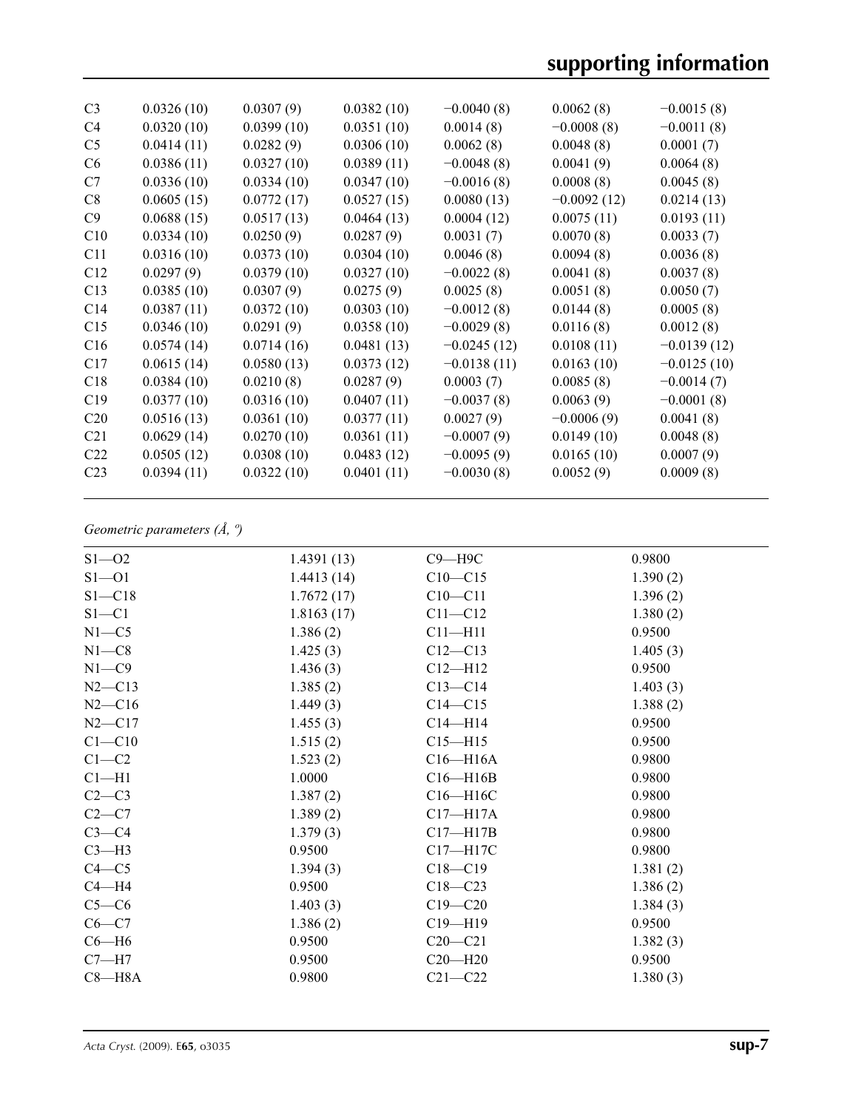| C <sub>3</sub>  | 0.0326(10) | 0.0307(9)  | 0.0382(10) | $-0.0040(8)$  | 0.0062(8)     | $-0.0015(8)$  |
|-----------------|------------|------------|------------|---------------|---------------|---------------|
| C4              | 0.0320(10) | 0.0399(10) | 0.0351(10) | 0.0014(8)     | $-0.0008(8)$  | $-0.0011(8)$  |
| C <sub>5</sub>  | 0.0414(11) | 0.0282(9)  | 0.0306(10) | 0.0062(8)     | 0.0048(8)     | 0.0001(7)     |
| C <sub>6</sub>  | 0.0386(11) | 0.0327(10) | 0.0389(11) | $-0.0048(8)$  | 0.0041(9)     | 0.0064(8)     |
| C7              | 0.0336(10) | 0.0334(10) | 0.0347(10) | $-0.0016(8)$  | 0.0008(8)     | 0.0045(8)     |
| C8              | 0.0605(15) | 0.0772(17) | 0.0527(15) | 0.0080(13)    | $-0.0092(12)$ | 0.0214(13)    |
| C9              | 0.0688(15) | 0.0517(13) | 0.0464(13) | 0.0004(12)    | 0.0075(11)    | 0.0193(11)    |
| C10             | 0.0334(10) | 0.0250(9)  | 0.0287(9)  | 0.0031(7)     | 0.0070(8)     | 0.0033(7)     |
| C11             | 0.0316(10) | 0.0373(10) | 0.0304(10) | 0.0046(8)     | 0.0094(8)     | 0.0036(8)     |
| C12             | 0.0297(9)  | 0.0379(10) | 0.0327(10) | $-0.0022(8)$  | 0.0041(8)     | 0.0037(8)     |
| C13             | 0.0385(10) | 0.0307(9)  | 0.0275(9)  | 0.0025(8)     | 0.0051(8)     | 0.0050(7)     |
| C14             | 0.0387(11) | 0.0372(10) | 0.0303(10) | $-0.0012(8)$  | 0.0144(8)     | 0.0005(8)     |
| C15             | 0.0346(10) | 0.0291(9)  | 0.0358(10) | $-0.0029(8)$  | 0.0116(8)     | 0.0012(8)     |
| C16             | 0.0574(14) | 0.0714(16) | 0.0481(13) | $-0.0245(12)$ | 0.0108(11)    | $-0.0139(12)$ |
| C17             | 0.0615(14) | 0.0580(13) | 0.0373(12) | $-0.0138(11)$ | 0.0163(10)    | $-0.0125(10)$ |
| C18             | 0.0384(10) | 0.0210(8)  | 0.0287(9)  | 0.0003(7)     | 0.0085(8)     | $-0.0014(7)$  |
| C19             | 0.0377(10) | 0.0316(10) | 0.0407(11) | $-0.0037(8)$  | 0.0063(9)     | $-0.0001(8)$  |
| C <sub>20</sub> | 0.0516(13) | 0.0361(10) | 0.0377(11) | 0.0027(9)     | $-0.0006(9)$  | 0.0041(8)     |
| C <sub>21</sub> | 0.0629(14) | 0.0270(10) | 0.0361(11) | $-0.0007(9)$  | 0.0149(10)    | 0.0048(8)     |
| C <sub>22</sub> | 0.0505(12) | 0.0308(10) | 0.0483(12) | $-0.0095(9)$  | 0.0165(10)    | 0.0007(9)     |
| C <sub>23</sub> | 0.0394(11) | 0.0322(10) | 0.0401(11) | $-0.0030(8)$  | 0.0052(9)     | 0.0009(8)     |
|                 |            |            |            |               |               |               |

# *Geometric parameters (Å, º)*

| $S1 - 02$  | 1.4391(13) | $C9 - H9C$   | 0.9800   |
|------------|------------|--------------|----------|
| $S1 - 01$  | 1.4413(14) | $C10 - C15$  | 1.390(2) |
| $S1 - C18$ | 1.7672(17) | $C10 - C11$  | 1.396(2) |
| $S1 - C1$  | 1.8163(17) | $C11 - C12$  | 1.380(2) |
| $N1 - C5$  | 1.386(2)   | $C11 - H11$  | 0.9500   |
| $N1 - C8$  | 1.425(3)   | $C12 - C13$  | 1.405(3) |
| $N1 - C9$  | 1.436(3)   | $C12 - H12$  | 0.9500   |
| $N2 - C13$ | 1.385(2)   | $C13 - C14$  | 1.403(3) |
| $N2 - C16$ | 1.449(3)   | $C14 - C15$  | 1.388(2) |
| $N2 - C17$ | 1.455(3)   | $C14 - H14$  | 0.9500   |
| $C1 - C10$ | 1.515(2)   | $C15 - H15$  | 0.9500   |
| $C1-C2$    | 1.523(2)   | $C16 - H16A$ | 0.9800   |
| $Cl-H1$    | 1.0000     | $C16 - H16B$ | 0.9800   |
| $C2-C3$    | 1.387(2)   | C16-H16C     | 0.9800   |
| $C2-C7$    | 1.389(2)   | $C17 - H17A$ | 0.9800   |
| $C3-C4$    | 1.379(3)   | $C17 - H17B$ | 0.9800   |
| $C3-H3$    | 0.9500     | C17-H17C     | 0.9800   |
| $C4 - C5$  | 1.394(3)   | $C18 - C19$  | 1.381(2) |
| $C4 - H4$  | 0.9500     | $C18 - C23$  | 1.386(2) |
| $C5-C6$    | 1.403(3)   | $C19 - C20$  | 1.384(3) |
| $C6 - C7$  | 1.386(2)   | $C19 - H19$  | 0.9500   |
| $C6 - H6$  | 0.9500     | $C20 - C21$  | 1.382(3) |
| $C7 - H7$  | 0.9500     | $C20 - H20$  | 0.9500   |
| $C8 - H8A$ | 0.9800     | $C21 - C22$  | 1.380(3) |
|            |            |              |          |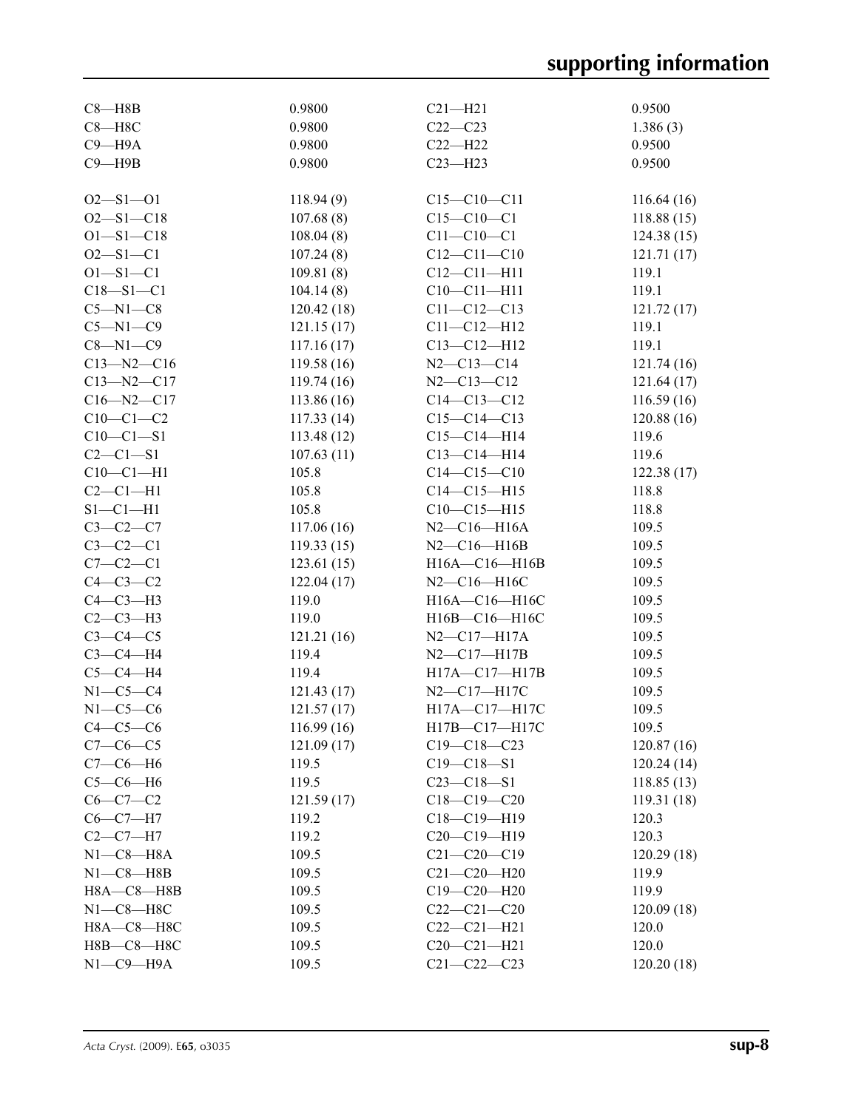| $C8 - H8B$               | 0.9800      | $C21 - H21$                        | 0.9500     |
|--------------------------|-------------|------------------------------------|------------|
| $C8 - H8C$               | 0.9800      | $C22-C23$                          | 1.386(3)   |
| $C9 - H9A$               | 0.9800      | $C22-H22$                          | 0.9500     |
| $C9 - H9B$               | 0.9800      | $C23 - H23$                        | 0.9500     |
|                          |             |                                    |            |
| $O2 - S1 - O1$           | 118.94(9)   | $C15 - C10 - C11$                  | 116.64(16) |
| $O2 - S1 - C18$          | 107.68(8)   | $C15 - C10 - C1$                   | 118.88(15) |
| $O1 - S1 - C18$          | 108.04(8)   | $C11 - C10 - C1$                   | 124.38(15) |
| $O2 - S1 - C1$           | 107.24(8)   | $C12 - C11 - C10$                  | 121.71(17) |
| $O1 - S1 - C1$           | 109.81(8)   | $C12 - C11 - H11$                  | 119.1      |
| $C18 - S1 - C1$          | 104.14(8)   | $C10-C11-H11$                      | 119.1      |
| $C5 - N1 - C8$           | 120.42(18)  | $C11 - C12 - C13$                  | 121.72(17) |
| $C5 - N1 - C9$           | 121.15(17)  | $C11 - C12 - H12$                  | 119.1      |
| $C8 - N1 - C9$           | 117.16(17)  | $C13 - C12 - H12$                  | 119.1      |
| $C13 - N2 - C16$         | 119.58(16)  | $N2 - C13 - C14$                   | 121.74(16) |
| $C13 - N2 - C17$         | 119.74(16)  | $N2 - C13 - C12$                   | 121.64(17) |
| $C16 - N2 - C17$         | 113.86(16)  | $C14 - C13 - C12$                  | 116.59(16) |
| $C10-C1-C2$              | 117.33(14)  | $C15-C14-C13$                      | 120.88(16) |
| $C10-C1-S1$              | 113.48(12)  | $C15-C14-H14$                      | 119.6      |
| $C2-C1-S1$               | 107.63(11)  | $C13-C14-H14$                      | 119.6      |
| $C10-C1-H1$              | 105.8       | $C14 - C15 - C10$                  | 122.38(17) |
| $C2-C1-H1$               | 105.8       | $C14 - C15 - H15$                  | 118.8      |
| $S1-C1-H1$               | 105.8       | $C10-C15-H15$                      | 118.8      |
| $C3-C2-C7$               | 117.06(16)  | $N2 - C16 - H16A$                  | 109.5      |
| $C3-C2-C1$               | 119.33(15)  | $N2 - C16 - H16B$                  | 109.5      |
| $C7-C2-C1$               | 123.61(15)  | H16A-C16-H16B                      | 109.5      |
| $C4-C3-C2$               | 122.04(17)  | N2-C16-H16C                        | 109.5      |
| $C4-C3-H3$               | 119.0       | H16A-C16-H16C                      | 109.5      |
| $C2-C3-H3$               | 119.0       | H16B-C16-H16C                      | 109.5      |
| $C3-C4-C5$               |             |                                    |            |
|                          | 121.21(16)  | $N2 - C17 - H17A$                  | 109.5      |
| $C3-C4-H4$<br>$C5-C4-H4$ | 119.4       | $N2 - C17 - H17B$<br>H17A-C17-H17B | 109.5      |
|                          | 119.4       |                                    | 109.5      |
| $N1-C5-C4$               | 121.43(17)  | N2-C17-H17C                        | 109.5      |
| $N1-C5-C6$               | 121.57(17)  | H17A-C17-H17C                      | 109.5      |
| $C4-C5-C6$               | 116.99(16)  | H17B-C17-H17C                      | 109.5      |
| $C7-C6-C5$               | 121.09 (17) | $C19 - C18 - C23$                  | 120.87(16) |
| $C7-C6-H6$               | 119.5       | $C19 - C18 - S1$                   | 120.24(14) |
| $C5-C6-H6$               | 119.5       | $C23 - C18 - S1$                   | 118.85(13) |
| $C6-C7-C2$               | 121.59(17)  | $C18-C19-C20$                      | 119.31(18) |
| $C6-C7-H7$               | 119.2       | $C18-C19-H19$                      | 120.3      |
| $C2-C7-H7$               | 119.2       | $C20-C19-H19$                      | 120.3      |
| $N1-C8 - H8A$            | 109.5       | $C21 - C20 - C19$                  | 120.29(18) |
| $N1-C8 - H8B$            | 109.5       | $C21 - C20 - H20$                  | 119.9      |
| $H8A - C8 - H8B$         | 109.5       | $C19 - C20 - H20$                  | 119.9      |
| $N1-C8-H8C$              | 109.5       | $C22-C21-C20$                      | 120.09(18) |
| Н8А-С8-Н8С               | 109.5       | $C22 - C21 - H21$                  | 120.0      |
| Н8В-С8-Н8С               | 109.5       | $C20-C21-H21$                      | 120.0      |
| $N1-C9-H9A$              | 109.5       | $C21 - C22 - C23$                  | 120.20(18) |